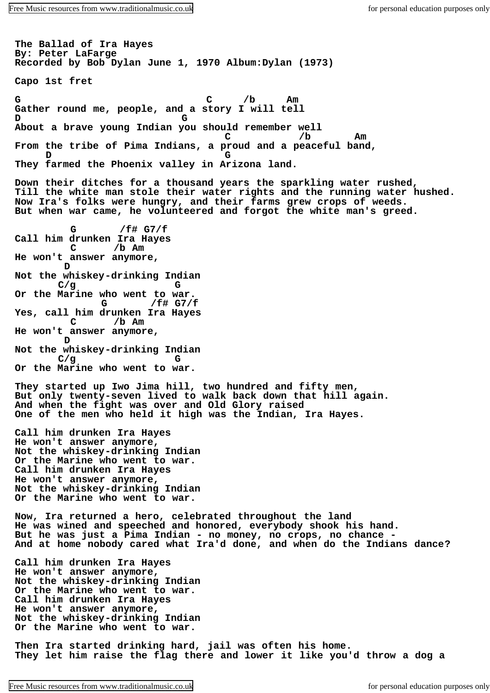**The Ballad of Ira Hayes By: Peter LaFarge Recorded by Bob Dylan June 1, 1970 Album:Dylan (1973) Capo 1st fret G C /b Am Gather round me, people, and a story I will tell D G About a brave young Indian you should remember well C /b Am From the tribe of Pima Indians, a proud and a peaceful band, D G They farmed the Phoenix valley in Arizona land. Down their ditches for a thousand years the sparkling water rushed, Till the white man stole their water rights and the running water hushed. Now Ira's folks were hungry, and their farms grew crops of weeds. But when war came, he volunteered and forgot the white man's greed. G /f# G7/f Call him drunken Ira Hayes C /b Am He won't answer anymore, D Not the whiskey-drinking Indian C/g G Or the Marine who went to war. G /f# G7/f Yes, call him drunken Ira Hayes C /b Am He won't answer anymore, D Not the whiskey-drinking Indian C/g G Or the Marine who went to war. They started up Iwo Jima hill, two hundred and fifty men, But only twenty-seven lived to walk back down that hill again. And when the fight was over and Old Glory raised One of the men who held it high was the Indian, Ira Hayes. Call him drunken Ira Hayes He won't answer anymore, Not the whiskey-drinking Indian Or the Marine who went to war. Call him drunken Ira Hayes He won't answer anymore, Not the whiskey-drinking Indian Or the Marine who went to war. Now, Ira returned a hero, celebrated throughout the land He was wined and speeched and honored, everybody shook his hand. But he was just a Pima Indian - no money, no crops, no chance - And at home nobody cared what Ira'd done, and when do the Indians dance? Call him drunken Ira Hayes He won't answer anymore, Not the whiskey-drinking Indian Or the Marine who went to war. Call him drunken Ira Hayes He won't answer anymore, Not the whiskey-drinking Indian Or the Marine who went to war. Then Ira started drinking hard, jail was often his home. They let him raise the flag there and lower it like you'd throw a dog a**